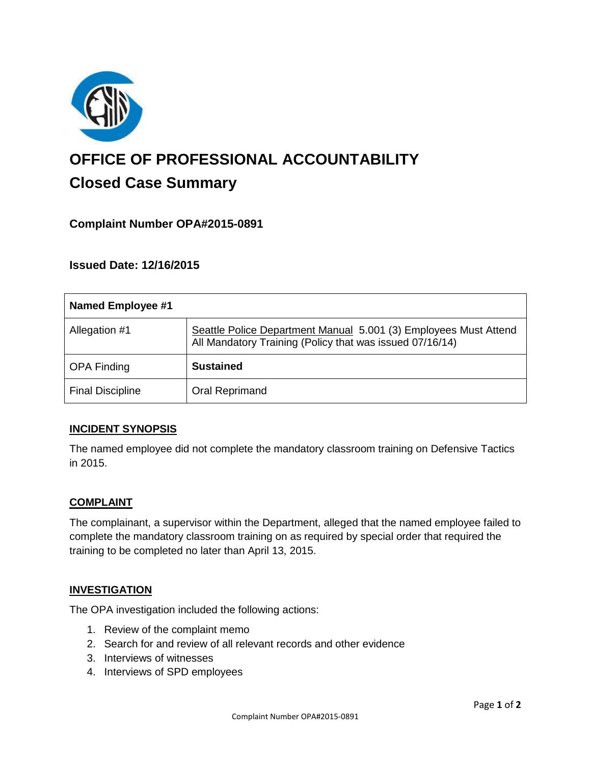

# **OFFICE OF PROFESSIONAL ACCOUNTABILITY Closed Case Summary**

## **Complaint Number OPA#2015-0891**

## **Issued Date: 12/16/2015**

| <b>Named Employee #1</b> |                                                                                                                              |
|--------------------------|------------------------------------------------------------------------------------------------------------------------------|
| Allegation #1            | Seattle Police Department Manual 5.001 (3) Employees Must Attend<br>All Mandatory Training (Policy that was issued 07/16/14) |
| <b>OPA Finding</b>       | <b>Sustained</b>                                                                                                             |
| <b>Final Discipline</b>  | <b>Oral Reprimand</b>                                                                                                        |

#### **INCIDENT SYNOPSIS**

The named employee did not complete the mandatory classroom training on Defensive Tactics in 2015.

#### **COMPLAINT**

The complainant, a supervisor within the Department, alleged that the named employee failed to complete the mandatory classroom training on as required by special order that required the training to be completed no later than April 13, 2015.

#### **INVESTIGATION**

The OPA investigation included the following actions:

- 1. Review of the complaint memo
- 2. Search for and review of all relevant records and other evidence
- 3. Interviews of witnesses
- 4. Interviews of SPD employees